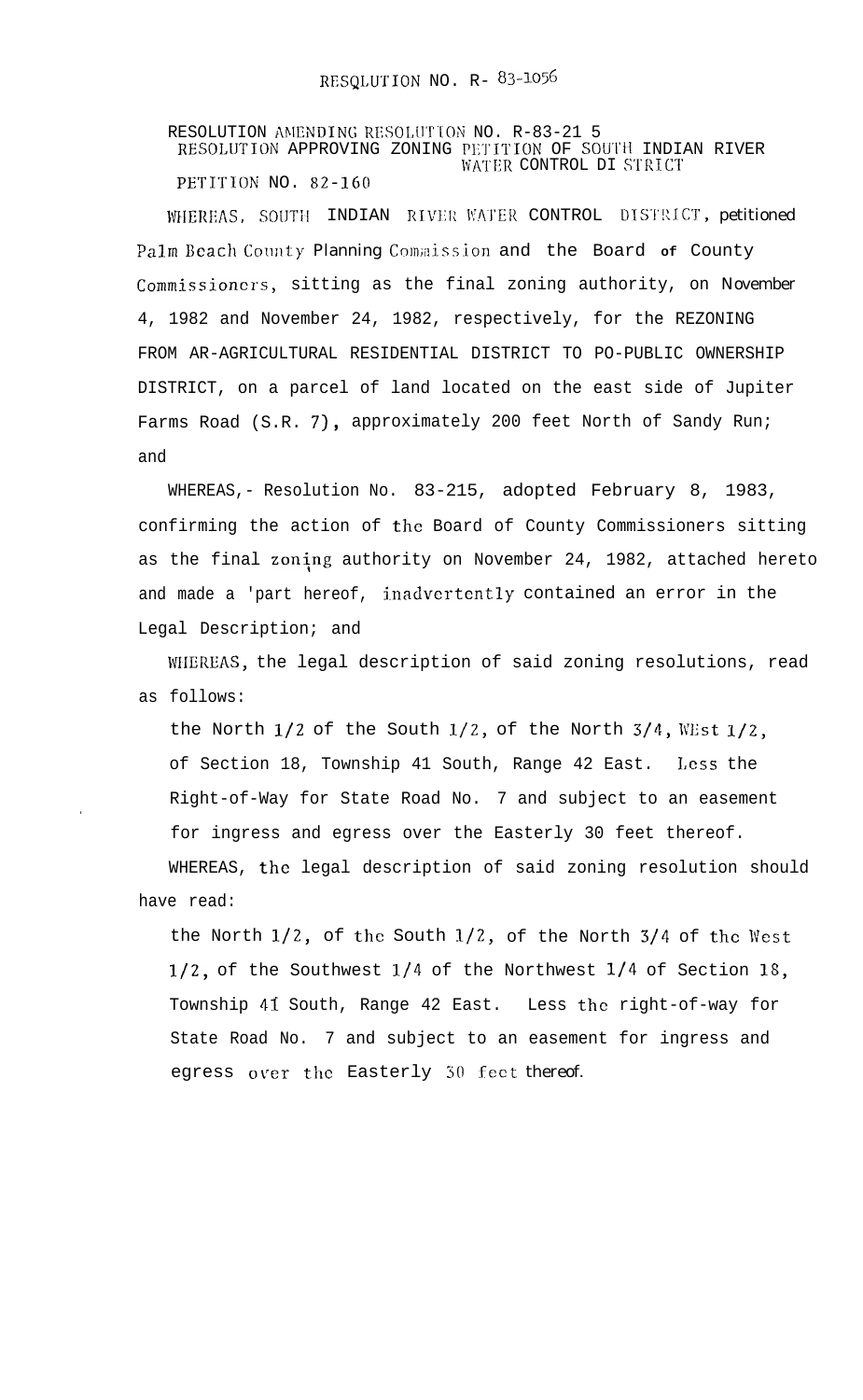RESOLUTION AMENDING RESOLUTION NO. R-83-21 5 RESOLUTION APPROVING ZONING PETITION OF SOUTH INDIAN RIVER WATER CONTROL DI STRICT PETITION NO. 82-160

WHEREAS, SOUTH INDIAN RIVER WATER CONTROL DISTRICT, petitioned Palm Beach County Planning Commission and the Board of County Commissioners, sitting as the final zoning authority, on November 4, 1982 and November 24, 1982, respectively, for the REZONING FROM AR-AGRICULTURAL RESIDENTIAL DISTRICT TO PO-PUBLIC OWNERSHIP DISTRICT, on a parcel of land located on the east side of Jupiter Farms Road (S.R. 7), approximately 200 feet North of Sandy Run; and

WHEREAS, - Resolution No. 83-215, adopted February 8, 1983, confirming the action of the Board of County Commissioners sitting as the final zoning authority on November 24, 1982, attached hereto and made a 'part hereof, inadvertently contained an error in the Legal Description; and

WIIEREAS, the legal description of said zoning resolutions, read as follows:

the North  $1/2$  of the South  $1/2$ , of the North  $3/4$ , WEst  $1/2$ , of Section 18, Township 41 South, Range 42 East. Less the Right-of-Way for State Road No. 7 and subject to an easement for ingress and egress over the Easterly 30 feet thereof. WHEREAS, the legal description of said zoning resolution should have read:

.

the North  $1/2$ , of the South  $1/2$ , of the North  $3/4$  of the West  $1/2$ , of the Southwest  $1/4$  of the Northwest  $1/4$  of Section 18, Township 41 South, Range 42 East. Less the right-of-way for State Road No. 7 and subject to an easement for ingress and egress over the Easterly 30 feet thereof.